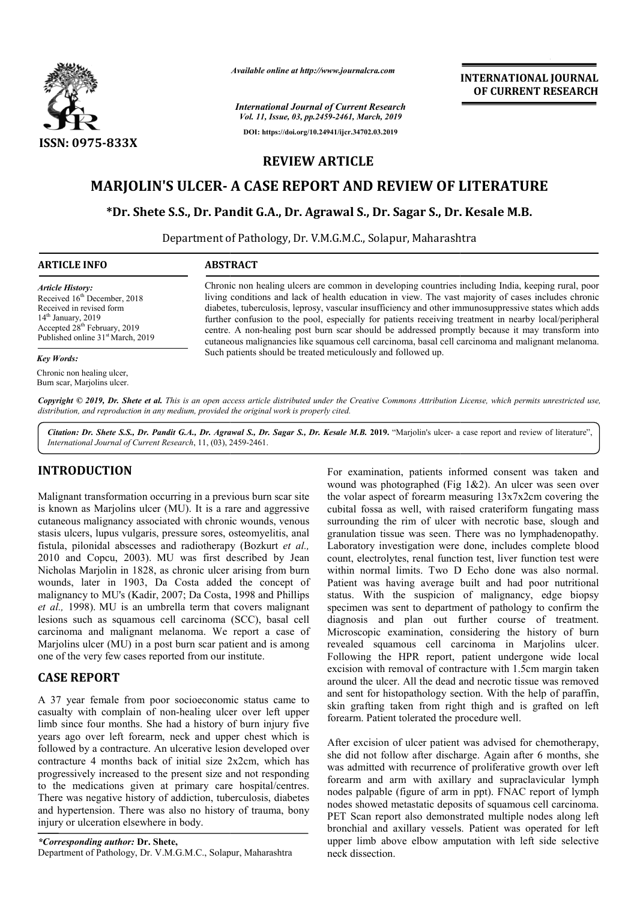

*Available online at http://www.journalcra.com*

*International Journal of Current Research Vol. 11, Issue, 03, pp.2459-2461, March, 2019* **DOI: https://doi.org/10.24941/ijcr.34702.03.2019**

**INTERNATIONAL JOURNAL OF CURRENT RESEARCH**

## **REVIEW ARTICLE**

# **MARJOLIN'S ULCER- A CASE REPORT AND REVIEW OF LITERATURE**<br>\*Dr. Shete S.S., Dr. Pandit G.A., Dr. Agrawal S., Dr. Sagar S., Dr. Kesale M.B.

### **\*Dr. Shete S.S., Dr. Pandit G.A., Dr. Agrawal S., Dr. Sagar S., Dr. Kesale Dr.**

Department of Pathology, Dr. V.M.G.M.C., Solapur, Maharashtra Maharashtra

| <b>ARTICLE INFO</b>                                                                                                                                                                                                  | <b>ABSTRACT</b>                                                                                                                                                                                                                                                                                                                                                                                                                                                                                                                                                                                                                                                                                      |
|----------------------------------------------------------------------------------------------------------------------------------------------------------------------------------------------------------------------|------------------------------------------------------------------------------------------------------------------------------------------------------------------------------------------------------------------------------------------------------------------------------------------------------------------------------------------------------------------------------------------------------------------------------------------------------------------------------------------------------------------------------------------------------------------------------------------------------------------------------------------------------------------------------------------------------|
| <b>Article History:</b><br>Received 16 <sup>th</sup> December, 2018<br>Received in revised form<br>$14th$ January, 2019<br>Accepted 28 <sup>th</sup> February, 2019<br>Published online 31 <sup>st</sup> March, 2019 | Chronic non healing ulcers are common in developing countries including India, keeping rural, poor<br>living conditions and lack of health education in view. The vast majority of cases includes chronic<br>diabetes, tuberculosis, leprosy, vascular insufficiency and other immunosuppressive states which adds<br>further confusion to the pool, especially for patients receiving treatment in nearby local/peripheral<br>centre. A non-healing post burn scar should be addressed promptly because it may transform into<br>cutaneous malignancies like squamous cell carcinoma, basal cell carcinoma and malignant melanoma.<br>Such patients should be treated meticulously and followed up. |
| Key Words:                                                                                                                                                                                                           |                                                                                                                                                                                                                                                                                                                                                                                                                                                                                                                                                                                                                                                                                                      |
| Chronic non healing ulcer,<br>Burn scar, Marjolins ulcer.                                                                                                                                                            |                                                                                                                                                                                                                                                                                                                                                                                                                                                                                                                                                                                                                                                                                                      |

Copyright © 2019, Dr. Shete et al. This is an open access article distributed under the Creative Commons Attribution License, which permits unrestricted use, *distribution, and reproduction in any medium, provided the original work is properly cited.*

Citation: Dr. Shete S.S., Dr. Pandit G.A., Dr. Agrawal S., Dr. Sagar S., Dr. Kesale M.B. 2019. "Marjolin's ulcer- a case report and review of literature", *International Journal of Current Research*, 11, (03), 2459 2459-2461.

### **INTRODUCTION**

Malignant transformation occurring in a previous burn scar site is known as Marjolins ulcer (MU). It is a rare and aggressive cutaneous malignancy associated with chronic wounds, venous stasis ulcers, lupus vulgaris, pressure sores, osteomyelitis, anal fistula, pilonidal abscesses and radiotherapy (Bozkurt *et al.,*  2010 and Copcu, 2003). MU was first described by Jean Nicholas Marjolin in 1828, as chronic ulcer arising from burn wounds, later in 1903, Da Costa added the concept of malignancy to MU's (Kadir, 2007; Da Costa, 1998 and Phillips *et al.,* 1998). MU is an umbrella term that covers malignant lesions such as squamous cell carcinoma (SCC), basal cell carcinoma and malignant melanoma. We report a case of Marjolins ulcer (MU) in a post burn scar patient and is among one of the very few cases reported from our institute.

### **CASE REPORT**

A 37 year female from poor socioeconomic status came to casualty with complain of non-healing ulcer over left upper limb since four months. She had a history of burn injury five years ago over left forearm, neck and upper chest which is followed by a contracture. An ulcerative lesion developed over contracture 4 months back of initial size 2x2cm, which has progressively increased to the present size and not responding to the medications given at primary care hospital/centres. There was negative history of addiction, tuberculosis, diabetes and hypertension. There was also no history of trauma, bony injury or ulceration elsewhere in body.

**EXEDUCTION**<br>
For examination, patient informed consent was taken and<br>
wound was photographed (Fig 1&2). An ulcer was steen over<br>
meant transformation occurring the arre and aggressive the volar aspect of forearm meansing For examination, patients informed consent was taken and wound was photographed (Fig  $1&2$ ). An ulcer was seen over the volar aspect of forearm measuring 13x7x2cm covering the cubital fossa as well, with raised crateriform fungating mass surrounding the rim of ulcer with necrotic base, slough and granulation tissue was seen. There was no lymphadenopathy. Laboratory investigation were done, includes complete blood count, electrolytes, renal function test, liver function test were within normal limits. Two D Echo done was also normal. Patient was having average built and had poor nutritional count, electrolytes, renal function test, liver function test were<br>within normal limits. Two D Echo done was also normal.<br>Patient was having average built and had poor nutritional<br>status. With the suspicion of malignancy, specimen was sent to department of pathology to confirm the diagnosis and plan out further course of treatment. Microscopic examination, considering the history of burn revealed squamous cell carcinoma in Marjolins ulcer. Following the HPR report, patient undergone wide local excision with removal of contracture with 1.5cm margin taken around the ulcer. All the dead and necrotic tissue was removed and sent for histopathology section. With the help of paraffin, skin grafting taken from right thigh and is grafted on left forearm. Patient tolerated the procedure well. rearm measuring 13x7x2cm covering the<br>with raised crateriform fungating mass<br>of ulcer with necrotic base, slough and<br>s seen. There was no lymphadenopathy.<br>ion were done, includes complete blood was sent to department of pathology to confirm the<br>and plan out further course of treatment.<br>ic examination, considering the history of burn<br>squamous cell carcinoma in Marjolins ulcer.<br>the HPR report, patient undergone wid in with removal of contracture with 1.5cm margin taken<br>the ulcer. All the dead and necrotic tissue was removed<br>it for histopathology section. With the help of paraffin,<br>afting taken from right thigh and is grafted on left **EXERCATIONAL JOURNAL FORM CONTROVIDENT (CONTROVIDENT)**<br> **CONTROVIDENT (CONTROVIDENT)**<br> **CONTROVIDENT (CONTROVIDENT)**<br> **CONTROVIDENT (CONTROVIDENT)**<br> **CONTROVIDENT (CONTROVIDENT)**<br> **CONTROVIDENT (CONTROVIDENT)**<br> **CONTROVI** 

After excision of ulcer patient was advised for chemotherapy, she did not follow after discharge. Again after 6 months, she was admitted with recurrence of proliferative growth over left forearm and arm with axillary and supraclavicular lymph nodes palpable (figure of arm in ppt). FNAC report of lymph nodes showed metastatic deposits of squamous cell carcinoma. PET Scan report also demonstrated multiple nodes along left bronchial and axillary vessels. Patient was operated for left upper limb above elbow amputation with left side selective neck dissection.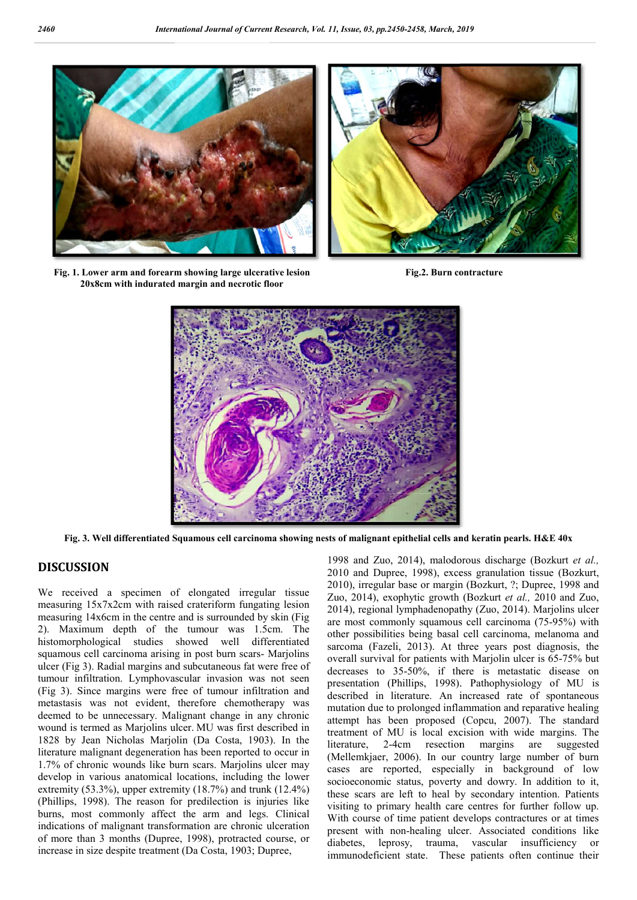

**Fig. 1. Lower arm and forearm showing large ulcerative lesion 20x8cm with indurated margin and necrotic floor**



**Fig.2. Burn contracture**



**Fig. 3. Well differentiated Squamous cell carcinoma showing nests of malignant epithelial ce cells and keratin pearls. H&E 40x**

#### **DISCUSSION**

We received a specimen of elongated irregular tissue measuring 15x7x2cm with raised crateriform fungating lesion measuring 14x6cm in the centre and is surrounded by skin (Fig 2). Maximum depth of the tumour was 1.5cm. The histomorphological studies showed well differentiated squamous cell carcinoma arising in post burn scars- Marjolins ulcer (Fig 3). Radial margins and subcutaneous fat were free of tumour infiltration. Lymphovascular invasion was not seen (Fig 3). Since margins were free of tumour infiltration and metastasis was not evident, therefore chemotherapy was deemed to be unnecessary. Malignant change in any chronic wound is termed as Marjolins ulcer. MU was first described in 1828 by Jean Nicholas Marjolin (Da Costa Da Costa, 1903). In the literature malignant degeneration has been reported to occur in 1.7% of chronic wounds like burn scars. Marjolins ulcer may develop in various anatomical locations, including the lower extremity (53.3%), upper extremity (18.7%) and trunk (12.4%) (Phillips, 1998). The reason for predilection is injuries like burns, most commonly affect the arm and legs. Clinical indications of malignant transformation are chronic ulceration of more than 3 months (Dupree, 1998), protracted course, or increase in size despite treatment (Da Costa, 1903; Dupree, increase in size despite treatment (Da Costa, 1903; ant degenerat<br>wounds like<br>bus anatomica<br>6), upper extra<br>The reason

1998 and Zuo, 2014), malodorous discharge (Bozkurt *et al.,*  2010 and Dupree, 1998), excess granulation tissue (Bozkurt, 2010), irregular base or margin (Bozkurt, ?; Dupree, 1998 and Zuo, 2014), exophytic growth (Bozkurt *et al.,* 2010 and Zuo, 2014), regional lymphadenopathy (Zuo, 2014). Marjolins ulcer are most commonly squamous cell carcinoma (75-95%) with other possibilities being basal cell carcinoma, melanoma and other possibilities being basal cell carcinoma, melanoma and sarcoma (Fazeli, 2013). At three years post diagnosis, the overall survival for patients with Marjolin ulcer is 65-75% but decreases to 35-50%, if there is metastatic disease on decreases to 35-50%, if there is metastatic disease on presentation (Phillips, 1998). Pathophysiology of MU is described in literature. An increased rate of spontaneous mutation due to prolonged inflammation and reparative healing mutation due to prolonged inflammation and reparative healing<br>attempt has been proposed (Copcu, 2007). The standard treatment of MU is local excision with wide margins. The literature, 2-4cm resection margins are suggested (Mellemkjaer, 2006). In our country large number of burn cases are reported, especially in background of low socioeconomic status, poverty and dowry. In addition to it, these scars are left to heal by secondary intention. Patients visiting to primary health care centres for furt socioeconomic status, poverty and dowry. In addition to it, these scars are left to heal by secondary intention. Patients visiting to primary health care centres for further With course of time patient develops contractures or at times present with non-healing ulcer. Associated conditions like diabetes, leprosy, trauma, vascular insufficiency or immunodeficient state. These patients often continue their 11, Issue, 03, pp.2169-2158. March, 2019<br>
With patient develops healing and  $Z_{\text{max}}$  and  $Z_{\text{max}}$  and  $Z_{\text{max}}$  and  $Z_{\text{max}}$  and  $Z_{\text{max}}$  and  $Z_{\text{max}}$  and  $Z_{\text{max}}$  and  $Z_{\text{max}}$  and  $Z_{\text{max}}$  and  $Z_{\text{max}}$  and  $Z_{\text{$